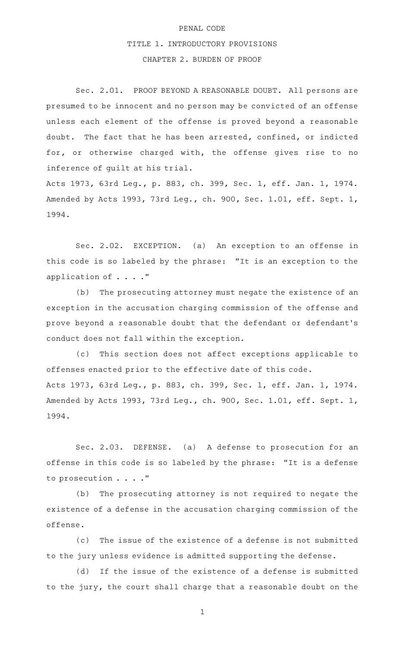## PENAL CODE TITLE 1. INTRODUCTORY PROVISIONS

## CHAPTER 2. BURDEN OF PROOF

Sec. 2.01. PROOF BEYOND A REASONABLE DOUBT. All persons are presumed to be innocent and no person may be convicted of an offense unless each element of the offense is proved beyond a reasonable doubt. The fact that he has been arrested, confined, or indicted for, or otherwise charged with, the offense gives rise to no inference of guilt at his trial.

Acts 1973, 63rd Leg., p. 883, ch. 399, Sec. 1, eff. Jan. 1, 1974. Amended by Acts 1993, 73rd Leg., ch. 900, Sec. 1.01, eff. Sept. 1, 1994.

Sec. 2.02. EXCEPTION. (a) An exception to an offense in this code is so labeled by the phrase: "It is an exception to the application of . . . ."

(b) The prosecuting attorney must negate the existence of an exception in the accusation charging commission of the offense and prove beyond a reasonable doubt that the defendant or defendant 's conduct does not fall within the exception.

(c) This section does not affect exceptions applicable to offenses enacted prior to the effective date of this code. Acts 1973, 63rd Leg., p. 883, ch. 399, Sec. 1, eff. Jan. 1, 1974. Amended by Acts 1993, 73rd Leg., ch. 900, Sec. 1.01, eff. Sept. 1, 1994.

Sec. 2.03. DEFENSE. (a) A defense to prosecution for an offense in this code is so labeled by the phrase: "It is a defense to prosecution . . . ."

(b) The prosecuting attorney is not required to negate the existence of a defense in the accusation charging commission of the offense.

(c) The issue of the existence of a defense is not submitted to the jury unless evidence is admitted supporting the defense.

(d) If the issue of the existence of a defense is submitted to the jury, the court shall charge that a reasonable doubt on the

1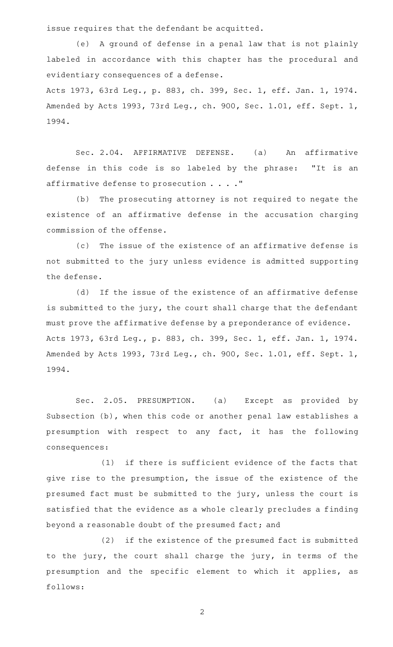issue requires that the defendant be acquitted.

(e) A ground of defense in a penal law that is not plainly labeled in accordance with this chapter has the procedural and evidentiary consequences of a defense.

Acts 1973, 63rd Leg., p. 883, ch. 399, Sec. 1, eff. Jan. 1, 1974. Amended by Acts 1993, 73rd Leg., ch. 900, Sec. 1.01, eff. Sept. 1, 1994.

Sec. 2.04. AFFIRMATIVE DEFENSE. (a) An affirmative defense in this code is so labeled by the phrase: "It is an affirmative defense to prosecution . . . ."

(b) The prosecuting attorney is not required to negate the existence of an affirmative defense in the accusation charging commission of the offense.

(c) The issue of the existence of an affirmative defense is not submitted to the jury unless evidence is admitted supporting the defense.

(d) If the issue of the existence of an affirmative defense is submitted to the jury, the court shall charge that the defendant must prove the affirmative defense by a preponderance of evidence. Acts 1973, 63rd Leg., p. 883, ch. 399, Sec. 1, eff. Jan. 1, 1974. Amended by Acts 1993, 73rd Leg., ch. 900, Sec. 1.01, eff. Sept. 1, 1994.

Sec. 2.05. PRESUMPTION. (a) Except as provided by Subsection (b), when this code or another penal law establishes a presumption with respect to any fact, it has the following consequences:

 $(1)$  if there is sufficient evidence of the facts that give rise to the presumption, the issue of the existence of the presumed fact must be submitted to the jury, unless the court is satisfied that the evidence as a whole clearly precludes a finding beyond a reasonable doubt of the presumed fact; and

(2) if the existence of the presumed fact is submitted to the jury, the court shall charge the jury, in terms of the presumption and the specific element to which it applies, as follows:

2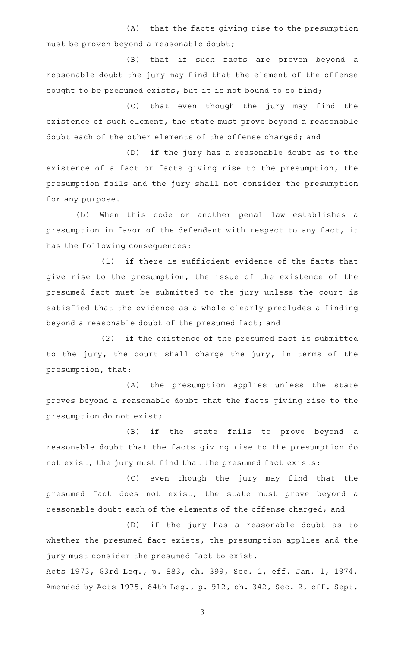(A) that the facts giving rise to the presumption must be proven beyond a reasonable doubt;

(B) that if such facts are proven beyond a reasonable doubt the jury may find that the element of the offense sought to be presumed exists, but it is not bound to so find;

(C) that even though the jury may find the existence of such element, the state must prove beyond a reasonable doubt each of the other elements of the offense charged; and

(D) if the jury has a reasonable doubt as to the existence of a fact or facts giving rise to the presumption, the presumption fails and the jury shall not consider the presumption for any purpose.

(b) When this code or another penal law establishes a presumption in favor of the defendant with respect to any fact, it has the following consequences:

 $(1)$  if there is sufficient evidence of the facts that give rise to the presumption, the issue of the existence of the presumed fact must be submitted to the jury unless the court is satisfied that the evidence as a whole clearly precludes a finding beyond a reasonable doubt of the presumed fact; and

(2) if the existence of the presumed fact is submitted to the jury, the court shall charge the jury, in terms of the presumption, that:

(A) the presumption applies unless the state proves beyond a reasonable doubt that the facts giving rise to the presumption do not exist;

(B) if the state fails to prove beyond a reasonable doubt that the facts giving rise to the presumption do not exist, the jury must find that the presumed fact exists;

(C) even though the jury may find that the presumed fact does not exist, the state must prove beyond a reasonable doubt each of the elements of the offense charged; and

(D) if the jury has a reasonable doubt as to whether the presumed fact exists, the presumption applies and the jury must consider the presumed fact to exist.

Acts 1973, 63rd Leg., p. 883, ch. 399, Sec. 1, eff. Jan. 1, 1974. Amended by Acts 1975, 64th Leg., p. 912, ch. 342, Sec. 2, eff. Sept.

3